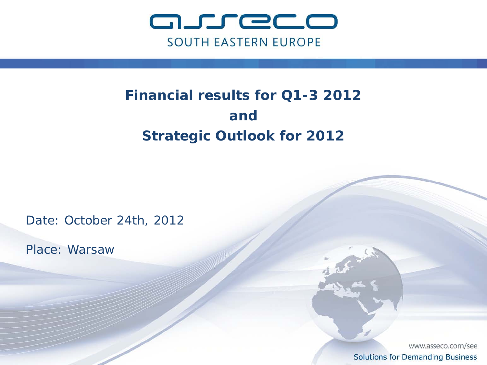

# **Financial results for Q1-3 2012 and Strategic Outlook for 2012**

Date: October 24th, 2012

Place: Warsaw

www.asseco.com/see **Solutions for Demanding Business**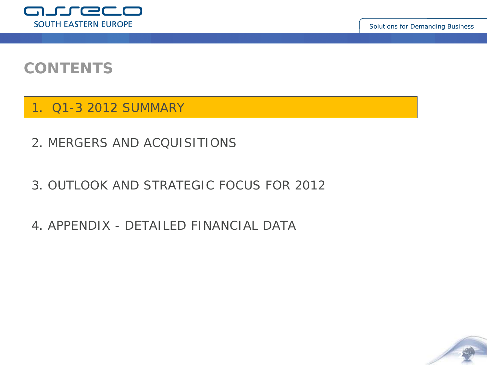

**2**

## **CONTENTS**

1. Q1-3 2012 SUMMARY

- 2. MERGERS AND ACQUISITIONS
- 3. OUTLOOK AND STRATEGIC FOCUS FOR 2012
- 4. APPENDIX DETAILED FINANCIAL DATA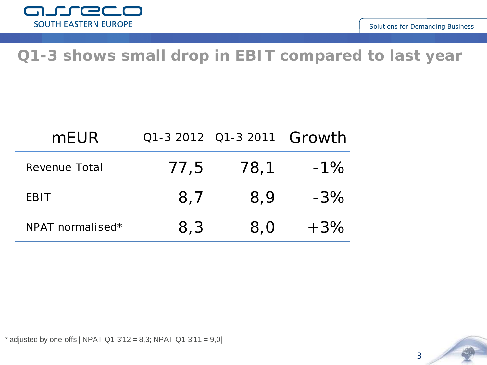

## **Q1-3 shows small drop in EBIT compared to last year**

| mEUR <sup>1</sup> |      | Q1-3 2012 Q1-3 2011 Growth |        |
|-------------------|------|----------------------------|--------|
| Revenue Total     | 77,5 | 78,1                       | $-1\%$ |
| <b>EBIT</b>       | 8.7  | 8.9                        | $-3\%$ |
| NPAT normalised*  | 8,3  | 8,0                        | $+3\%$ |



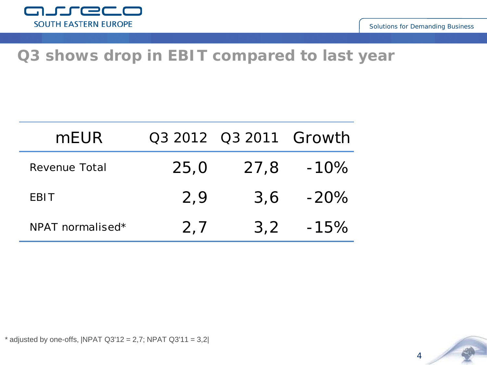

## **Q3 shows drop in EBIT compared to last year**

| mEUR             |      | Q3 2012 Q3 2011 Growth |         |
|------------------|------|------------------------|---------|
| Revenue Total    | 25,0 | 27,8                   | $-10\%$ |
| <b>EBIT</b>      | 2,9  | 3,6                    | $-20\%$ |
| NPAT normalised* | 2,7  | 3,2                    | $-15\%$ |



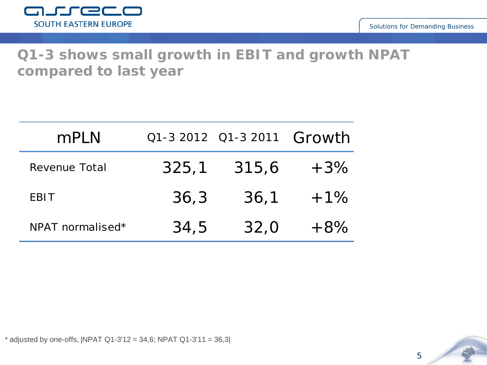

### **Q1-3 shows small growth in EBIT and growth NPAT compared to last year**

| mPLN             |       | Q1-3 2012 Q1-3 2011 Growth |        |
|------------------|-------|----------------------------|--------|
| Revenue Total    | 325,1 | 315,6                      | $+3\%$ |
| <b>EBIT</b>      | 36,3  | 36,1                       | $+1\%$ |
| NPAT normalised* | 34,5  | 32,0                       | $+8\%$ |

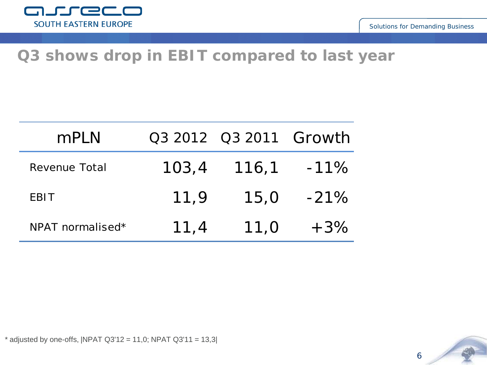

## **Q3 shows drop in EBIT compared to last year**

| mPLN             |       | Q3 2012 Q3 2011 Growth |        |
|------------------|-------|------------------------|--------|
| Revenue Total    | 103,4 | 116,1                  | $-11%$ |
| <b>EBIT</b>      | 11,9  | 15,0                   | $-21%$ |
| NPAT normalised* | 11,4  | 11,0                   | $+3\%$ |

 $*$  adjusted by one-offs, |NPAT Q3'12 = 11,0; NPAT Q3'11 = 13,3|

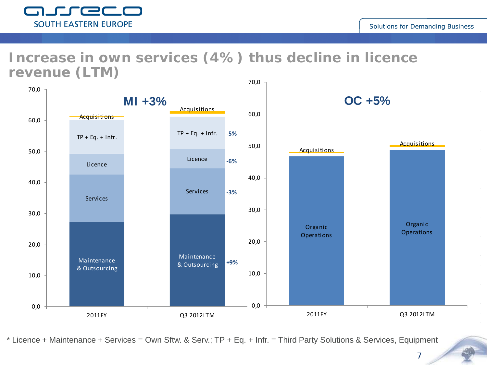

#### **Increase in own services (4%) thus decline in licence revenue (LTM)**



\* Licence + Maintenance + Services = Own Sftw. & Serv.; TP + Eq. + Infr. = Third Party Solutions & Services, Equipment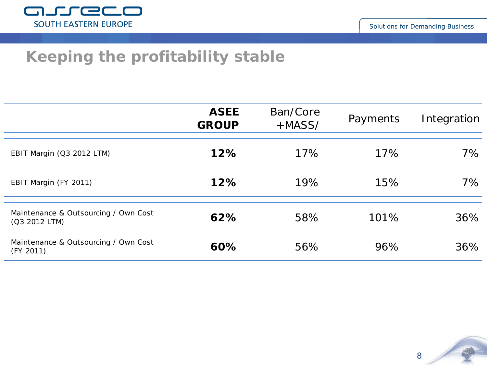

## **Keeping the profitability stable**

|                                                       | <b>ASEE</b><br><b>GROUP</b> | Ban/Core<br>$+MASS/$ | Payments | Integration |
|-------------------------------------------------------|-----------------------------|----------------------|----------|-------------|
| EBIT Margin (Q3 2012 LTM)                             | 12%                         | 17%                  | 17%      | $7\%$       |
| EBIT Margin (FY 2011)                                 | 12%                         | 19%                  | 15%      | $7\%$       |
| Maintenance & Outsourcing / Own Cost<br>(Q3 2012 LTM) | 62%                         | 58%                  | 101%     | 36%         |
| Maintenance & Outsourcing / Own Cost<br>(FY 2011)     | 60%                         | 56%                  | 96%      | 36%         |

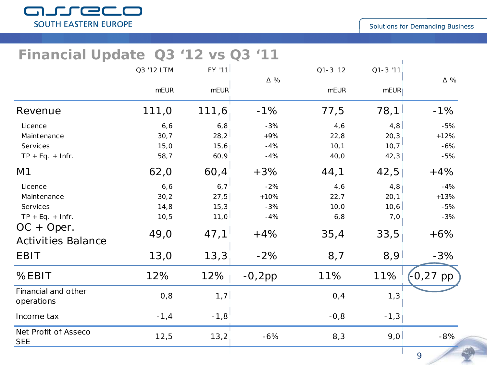

#### **Financial Update Q3 '12 vs Q3 '11**

|                                    | Q3 '12 LTM  | $FY$ '11          |            | $Q1 - 3'12$ | $Q1 - 3'11$ |           |
|------------------------------------|-------------|-------------------|------------|-------------|-------------|-----------|
|                                    | <b>mEUR</b> | mEUR <sup>'</sup> | $\Delta$ % | <b>mEUR</b> | mEUR        | Δ %       |
| Revenue                            | 111,0       | 111,6             | $-1%$      | 77,5        | 78,1        | $-1%$     |
| Licence                            | 6, 6        | 6, 8              | $-3%$      | 4,6         | 4,8         | $-5%$     |
| Maintenance                        | 30, 7       | 28,2              | $+9%$      | 22,8        | 20, 3       | $+12%$    |
| Services                           | 15,0        | 15,6              | $-4%$      | 10, 1       | 10, 7       | $-6%$     |
| $TP + Eq. + Infr.$                 | 58,7        | 60,9              | $-4%$      | 40,0        | 42,3        | $-5%$     |
| M1                                 | 62,0        | 60,4              | $+3%$      | 44,1        | 42,5        | $+4%$     |
| Licence                            | 6, 6        | 6, 7              | $-2%$      | 4,6         | 4,8         | $-4%$     |
| Maintenance                        | 30,2        | 27,5              | $+10%$     | 22, 7       | 20, 1       | $+13%$    |
| Services                           | 14,8        | 15,3              | $-3%$      | 10,0        | 10,6        | $-5%$     |
| $TP + Eq. + Infr.$                 | 10, 5       | 11,0              | $-4%$      | 6, 8        | 7,0         | $-3%$     |
| $OC + Oper.$                       | 49,0        | 47,1              | $+4%$      | 35,4        | 33,5        | $+6%$     |
| <b>Activities Balance</b>          |             |                   |            |             |             |           |
| <b>EBIT</b>                        | 13,0        | 13,3              | $-2%$      | 8,7         | 8,9         | $-3%$     |
| %EBIT                              | 12%         | $12\%$            | $-0,2pp$   | 11%         | 11%         | (-0,27 pp |
| Financial and other<br>operations  | 0,8         | 1, 7              |            | 0,4         | 1,3         |           |
| Income tax                         | $-1, 4$     | $-1,8$            |            | $-0, 8$     | $-1,3$      |           |
| Net Profit of Asseco<br><b>SEE</b> | 12,5        | 13,2              | $-6%$      | 8,3         | 9,0         | $-8%$     |
|                                    |             |                   |            |             |             | 9         |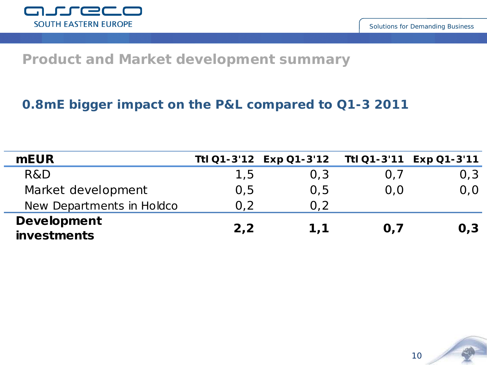

#### **Product and Market development summary**

#### **0.8mE bigger impact on the P&L compared to Q1-3 2011**

| <b>mEUR</b>                              |      | Ttl Q1-3'12 Exp Q1-3'12 |     | Ttl Q1-3'11 Exp Q1-3'11 |
|------------------------------------------|------|-------------------------|-----|-------------------------|
| R&D                                      | 1,5  | 0,3                     | 0,7 | 0,3                     |
| Market development                       | 0, 5 | 0,5                     | 0.0 | 0,0                     |
| New Departments in Holdco                | 0,2  | 0.2                     |     |                         |
| <b>Development</b><br><b>investments</b> | 2,2  | 1.1                     | O.7 | O <sub>1</sub> 3        |

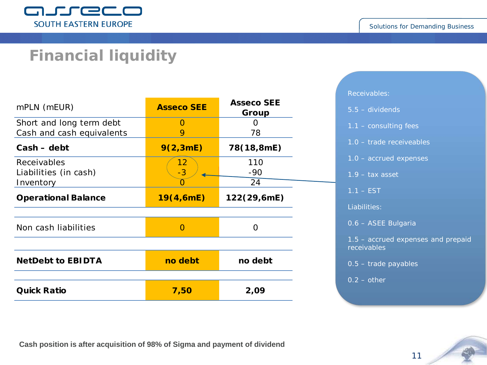

## **Financial liquidity**

| mPLN (mEUR)                | <b>Asseco SEE</b> | <b>Asseco SEE</b><br>Group |
|----------------------------|-------------------|----------------------------|
| Short and long term debt   | $\left( \right)$  | 0                          |
| Cash and cash equivalents  | 9                 | 78                         |
| $Cash - debt$              | 9(2,3mE)          | 78(18,8mE)                 |
| Receivables                | 12                | 110                        |
| Liabilities (in cash)      | $-3$              | $-90$                      |
| Inventory                  | O                 | 24                         |
| <b>Operational Balance</b> | 19(4,6mE)         | 122(29,6mE)                |
| Non cash liabilities       | $\left( \right)$  | Ω                          |
|                            |                   |                            |
| <b>NetDebt to EBIDTA</b>   | no debt           | no debt                    |
| <b>Quick Ratio</b>         | 7,50              | 2,09                       |

#### Receivables:

- 5.5 dividends
- 1.1 consulting fees
- 1.0 trade receiveables
- 1.0 accrued expenses
- 1.9 tax asset
- $1.1 EST$

Liabilities:

0.6 – ASEE Bulgaria

1.5 – accrued expenses and prepaid receivables

11

0.5 – trade payables

 $0.2 - other$ 

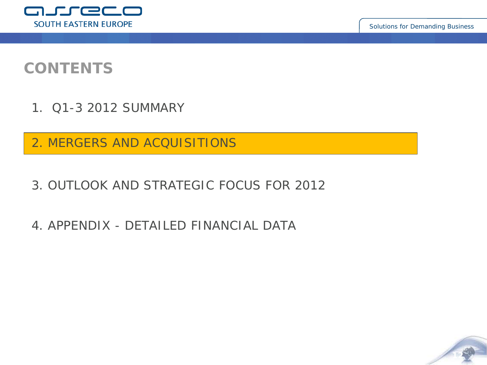

**12**

## **CONTENTS**

- 1. Q1-3 2012 SUMMARY
- 2. MERGERS AND ACQUISITIONS
- 3. OUTLOOK AND STRATEGIC FOCUS FOR 2012
- 4. APPENDIX DETAILED FINANCIAL DATA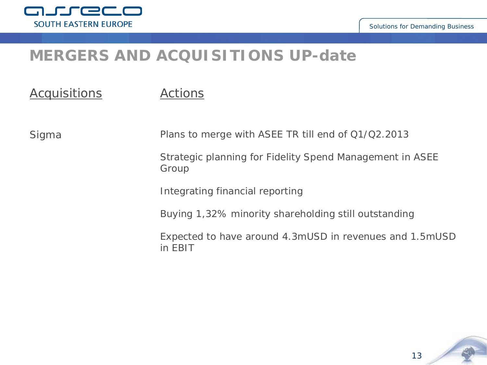

## **MERGERS AND ACQUISITIONS UP-date**

| <i>Acquisitions</i> | <i>Actions</i>                                                     |
|---------------------|--------------------------------------------------------------------|
| Sigma               | Plans to merge with ASEE TR till end of Q1/Q2.2013                 |
|                     | Strategic planning for Fidelity Spend Management in ASEE<br>Group  |
|                     | Integrating financial reporting                                    |
|                     | Buying 1,32% minority shareholding still outstanding               |
|                     | Expected to have around 4.3mUSD in revenues and 1.5mUSD<br>in EBIT |

13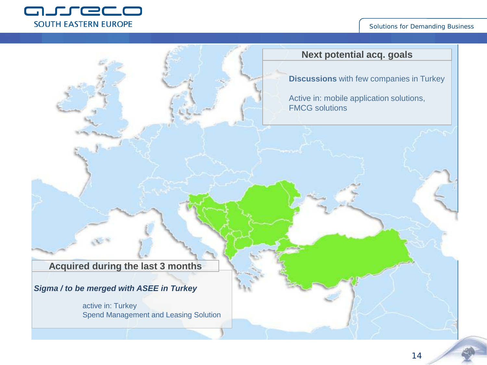

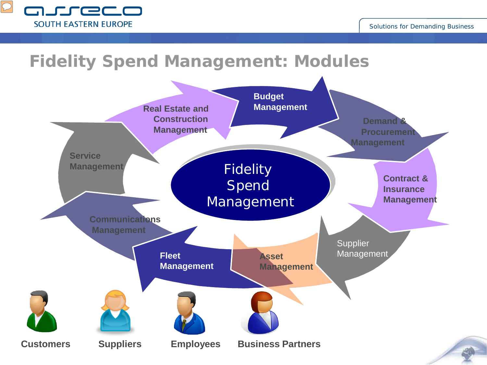

# **Fidelity Spend Management: Modules**

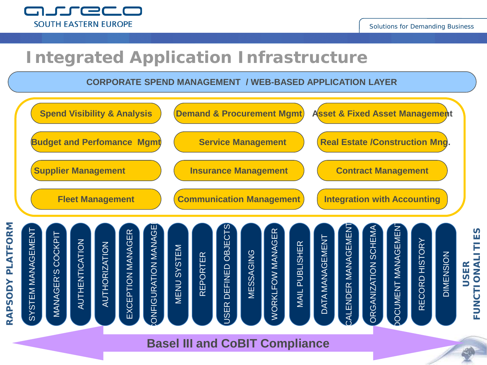

# **Integrated Application Infrastructure**

**CORPORATE SPEND MANAGEMENT / WEB-BASED APPLICATION LAYER**

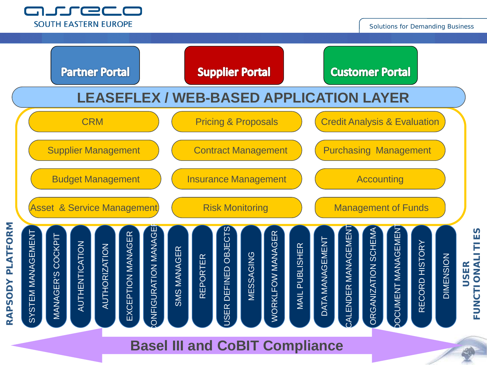



**Basel III and CoBIT Compliance**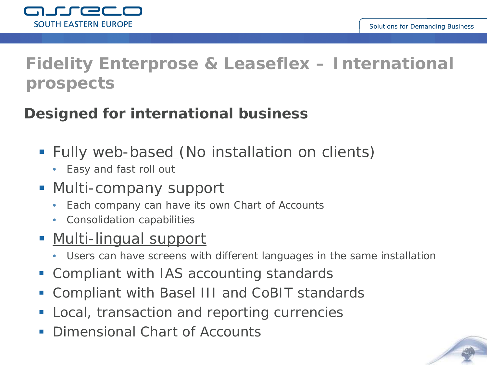

# **Fidelity Enterprose & Leaseflex – International prospects**

## **Designed for international business**

- **Fully web-based (No installation on clients)** 
	- Easy and fast roll out

## • Multi-company support

- Each company can have its own Chart of Accounts
- Consolidation capabilities

## <u>• Multi-lingual support</u>

- Users can have screens with different languages in the same installation
- Compliant with IAS accounting standards
- Compliant with Basel III and CoBIT standards
- **Local, transaction and reporting currencies**
- Dimensional Chart of Accounts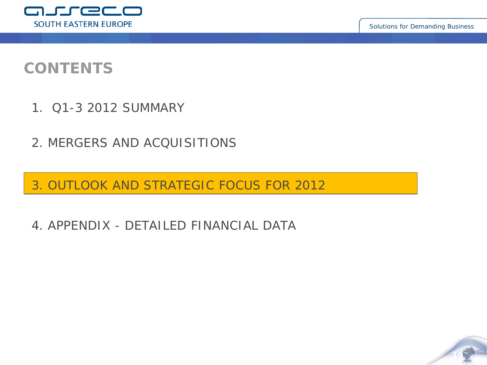

## **CONTENTS**

- 1. Q1-3 2012 SUMMARY
- 2. MERGERS AND ACQUISITIONS

3. OUTLOOK AND STRATEGIC FOCUS FOR 2012

4. APPENDIX - DETAILED FINANCIAL DATA

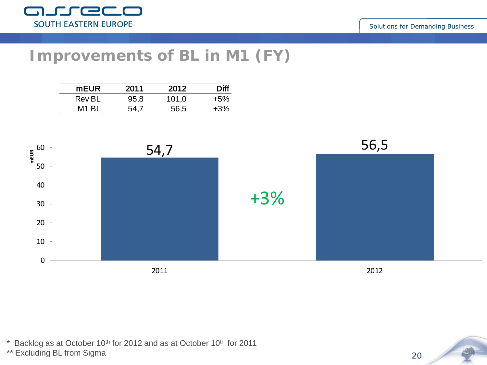

## **Improvements of BL in M1 (FY)**

| <b>mEUR</b> | 2011 | 2012  | Diff   |
|-------------|------|-------|--------|
| Rev BL      | 95,8 | 101,0 | $+5%$  |
| M1 BL       | 54.7 | 56,5  | $+3\%$ |



 $*$  Backlog as at October 10<sup>th</sup> for 2012 and as at October 10<sup>th</sup> for 2011

\*\* Excluding BL from Sigma

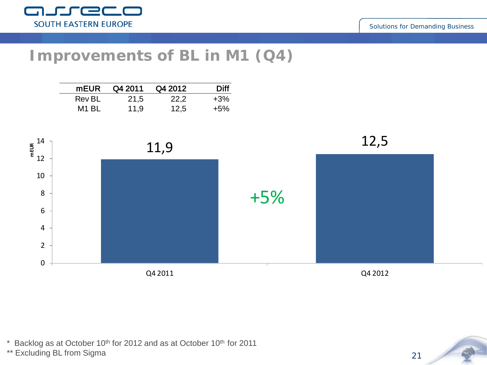

### **Improvements of BL in M1 (Q4)**

| <b>mEUR</b> | Q4 2011 | Q4 2012 | Diff   |
|-------------|---------|---------|--------|
| Rev BL      | 21,5    | 22,2    | $+3\%$ |
| M1 BL       | 11,9    | 12,5    | $+5%$  |



\* Backlog as at October 10th for 2012 and as at October 10th for 2011

\*\* Excluding BL from Sigma

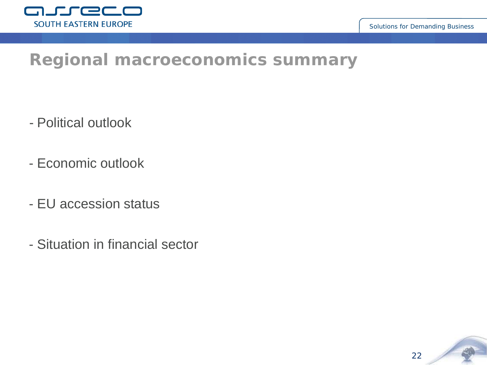

## **Regional macroeconomics summary**

- Political outlook
- Economic outlook
- EU accession status
- Situation in financial sector

22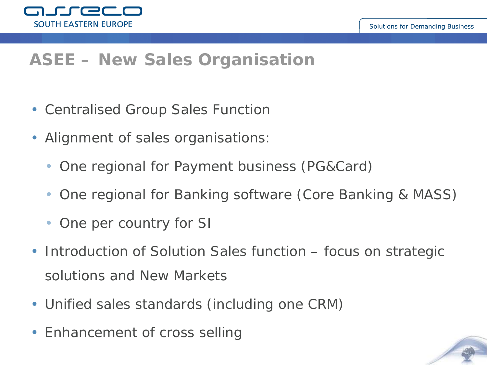

# **ASEE – New Sales Organisation**

- Centralised Group Sales Function
- Alignment of sales organisations:
	- One regional for Payment business (PG&Card)
	- One regional for Banking software (Core Banking & MASS)
	- One per country for SI
- Introduction of Solution Sales function focus on strategic solutions and New Markets
- Unified sales standards (including one CRM)
- Enhancement of cross selling

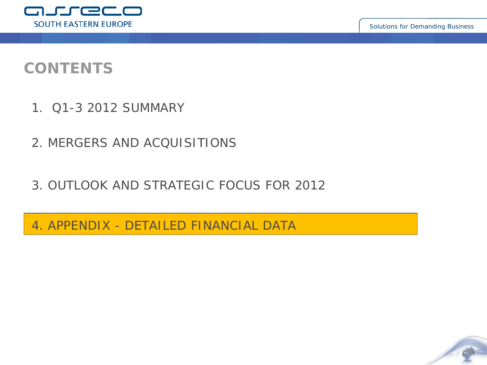**24**



## **CONTENTS**

- 1. Q1-3 2012 SUMMARY
- 2. MERGERS AND ACQUISITIONS
- 3. OUTLOOK AND STRATEGIC FOCUS FOR 2012

4. APPENDIX - DETAILED FINANCIAL DATA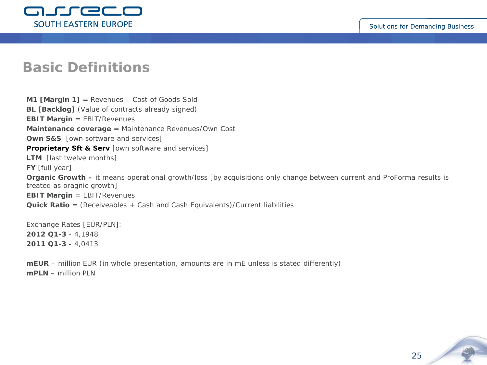

#### **Basic Definitions**

**M1 [Margin 1]** = Revenues – Cost of Goods Sold **BL [Backlog]** (Value of contracts already signed) **EBIT Margin** = EBIT/Revenues **Maintenance coverage** = Maintenance Revenues/Own Cost **Own S&S** [own software and services] **Proprietary Sft & Serv** [own software and services] **LTM** [last twelve months] **FY** [full year] **Organic Growth –** it means operational growth/loss [by acquisitions only change between current and ProForma results is treated as oragnic growth] **EBIT Margin** = EBIT/Revenues **Quick Ratio** = (Receiveables + Cash and Cash Equivalents)/Current liabilities

Exchange Rates [EUR/PLN]: **2012 Q1-3** - 4,1948 **2011 Q1-3** - 4,0413

**mEUR** – million EUR (in whole presentation, amounts are in mE unless is stated differently) **mPLN** – million PLN

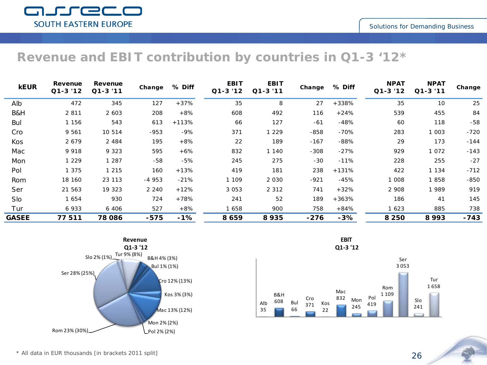#### **Revenue and EBIT contribution by countries in Q1-3 '12\***

| <b>kEUR</b>  | Revenue<br>$Q1-3'12$ | Revenue<br>$Q1 - 3'11$ | Change  | % Diff  | <b>EBIT</b><br>$Q1-3'12$ | <b>EBIT</b><br>$Q1 - 3'11$ | Change | % Diff  | <b>NPAT</b><br>$Q1-3'12$ | <b>NPAT</b><br>$Q1 - 3'11$ | Change |
|--------------|----------------------|------------------------|---------|---------|--------------------------|----------------------------|--------|---------|--------------------------|----------------------------|--------|
| Alb          | 472                  | 345                    | 127     | $+37%$  | 35                       | 8                          | 27     | $+338%$ | 35                       | 10                         | 25     |
| B&H          | 2811                 | 2 603                  | 208     | $+8%$   | 608                      | 492                        | 116    | +24%    | 539                      | 455                        | 84     |
| Bul          | 1 156                | 543                    | 613     | $+113%$ | 66                       | 127                        | $-61$  | $-48%$  | 60                       | 118                        | -58    |
| Cro          | 9 5 6 1              | 10 514                 | $-953$  | -9%     | 371                      | 1 2 2 9                    | $-858$ | $-70%$  | 283                      | 1 003                      | $-720$ |
| Kos          | 2679                 | 2 4 8 4                | 195     | $+8%$   | 22                       | 189                        | $-167$ | $-88%$  | 29                       | 173                        | $-144$ |
| Mac          | 9918                 | 9 3 2 3                | 595     | $+6%$   | 832                      | 1 140                      | $-308$ | $-27%$  | 929                      | 1072                       | $-143$ |
| Mon          | 1 2 2 9              | 1 2 8 7                | -58     | $-5%$   | 245                      | 275                        | -30    | $-11%$  | 228                      | 255                        | $-27$  |
| Pol          | 1 375                | 1 2 1 5                | 160     | $+13%$  | 419                      | 181                        | 238    | $+131%$ | 422                      | 1 1 3 4                    | $-712$ |
| Rom          | 18 160               | 23 113                 | $-4953$ | $-21%$  | 1 109                    | 2030                       | $-921$ | $-45%$  | 1 008                    | 1858                       | -850   |
| Ser          | 21 563               | 19 323                 | 2 2 4 0 | $+12%$  | 3053                     | 2 3 1 2                    | 741    | $+32%$  | 2 908                    | 1989                       | 919    |
| Slo          | 1654                 | 930                    | 724     | +78%    | 241                      | 52                         | 189    | $+363%$ | 186                      | 41                         | 145    |
| Tur          | 6933                 | 6 406                  | 527     | $+8%$   | 1658                     | 900                        | 758    | +84%    | 1623                     | 885                        | 738    |
| <b>GASEE</b> | 77511                | 78 086                 | $-575$  | $-1%$   | 8659                     | 8935                       | $-276$ | $-3%$   | 8 2 5 0                  | 8993                       | -743   |



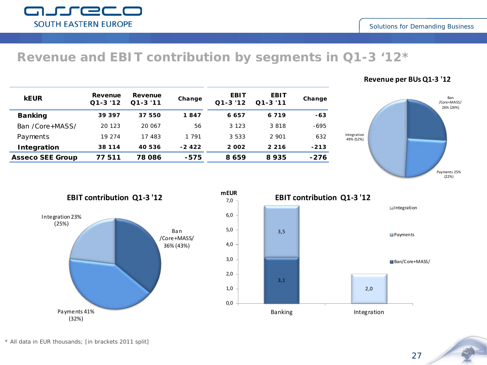#### **Revenue and EBIT contribution by segments in Q1-3 '12\***

| <b>kEUR</b>             | Revenue<br>$Q1 - 3'12$ | Revenue<br>$Q1 - 3'11$ | Change  | <b>EBIT</b><br>$Q1 - 3'12$ | <b>EBIT</b><br>$Q1 - 3'11$ | Change |
|-------------------------|------------------------|------------------------|---------|----------------------------|----------------------------|--------|
| <b>Banking</b>          | 39397                  | 37 550                 | 1847    | 6657                       | 6719                       | $-63$  |
| Ban /Core+MASS/         | 20 123                 | 20 067                 | 56      | 3 1 2 3                    | 3818                       | -695   |
| Payments                | 19 274                 | 17483                  | 1 791   | 3 5 3 3                    | 2901                       | 632    |
| Integration             | 38 1 1 4               | 40 536                 | $-2422$ | 2002                       | 2216                       | $-213$ |
| <b>Asseco SEE Group</b> | 77511                  | 78 086                 | -575    | 8659                       | 8935                       | $-276$ |





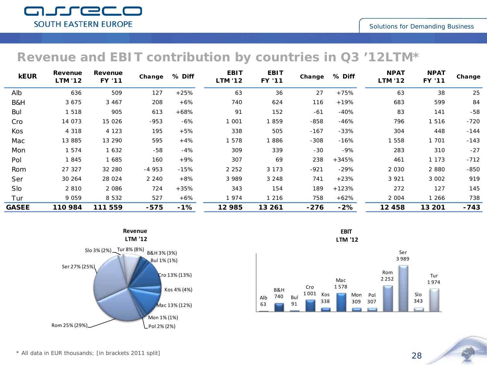#### **Revenue and EBIT contribution by countries in Q3 '12LTM\***

| <b>kEUR</b>  | Revenue<br><b>LTM '12</b> | Revenue<br><b>FY '11</b> | Change  | % Diff | <b>EBIT</b><br><b>LTM '12</b> | <b>EBIT</b><br>FY '11 | Change | % Diff | <b>NPAT</b><br><b>LTM '12</b> | <b>NPAT</b><br>FY '11 | Change |
|--------------|---------------------------|--------------------------|---------|--------|-------------------------------|-----------------------|--------|--------|-------------------------------|-----------------------|--------|
| Alb          | 636                       | 509                      | 127     | $+25%$ | 63                            | 36                    | 27     | $+75%$ | 63                            | 38                    | 25     |
| B&H          | 3 6 7 5                   | 3 4 6 7                  | 208     | $+6%$  | 740                           | 624                   | 116    | $+19%$ | 683                           | 599                   | 84     |
| Bul          | 1518                      | 905                      | 613     | $+68%$ | 91                            | 152                   | $-61$  | $-40%$ | 83                            | 141                   | -58    |
| Cro          | 14 073                    | 15 0 26                  | $-953$  | $-6%$  | 1 001                         | 1859                  | $-858$ | $-46%$ | 796                           | 1516                  | $-720$ |
| Kos          | 4 3 1 8                   | 4 1 2 3                  | 195     | $+5%$  | 338                           | 505                   | $-167$ | $-33%$ | 304                           | 448                   | -144   |
| Mac          | 13 885                    | 13 290                   | 595     | $+4%$  | 1578                          | 1886                  | $-308$ | $-16%$ | 1 558                         | 1 701                 | $-143$ |
| Mon          | 1 5 7 4                   | 1632                     | $-58$   | $-4%$  | 309                           | 339                   | $-30$  | -9%    | 283                           | 310                   | $-27$  |
| Pol          | 1845                      | 1685                     | 160     | $+9%$  | 307                           | 69                    | 238    | +345%  | 461                           | 1 1 7 3               | $-712$ |
| Rom          | 27 327                    | 32 280                   | $-4953$ | $-15%$ | 2 2 5 2                       | 3 1 7 3               | $-921$ | $-29%$ | 2 030                         | 2880                  | -850   |
| Ser          | 30 264                    | 28 0 24                  | 2 2 4 0 | $+8%$  | 3989                          | 3 2 4 8               | 741    | $+23%$ | 3 9 2 1                       | 3 002                 | 919    |
| Slo          | 2810                      | 2086                     | 724     | $+35%$ | 343                           | 154                   | 189    | +123%  | 272                           | 127                   | 145    |
| Tur          | 9059                      | 8 5 3 2                  | 527     | $+6%$  | 1974                          | 1 2 1 6               | 758    | $+62%$ | 2 004                         | 1 266                 | 738    |
| <b>GASEE</b> | 110 984                   | 111 559                  | -575    | $-1%$  | 12 985                        | 13 261                | $-276$ | $-2%$  | 12458                         | 13 201                | -743   |



**EBIT LTM '12**

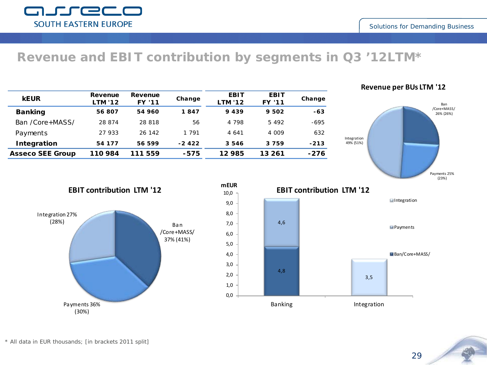#### **Revenue and EBIT contribution by segments in Q3 '12LTM\***

| <b>kEUR</b>             | Revenue<br><b>LTM '12</b> | Revenue<br><b>FY '11</b> | Change  | <b>EBIT</b><br><b>LTM '12</b> | <b>EBIT</b><br><b>FY '11</b> | Change |
|-------------------------|---------------------------|--------------------------|---------|-------------------------------|------------------------------|--------|
| <b>Banking</b>          | 56 807                    | 54 960                   | 1847    | 9439                          | 9 502                        | $-63$  |
| Ban /Core+MASS/         | 28 874                    | 28 818                   | 56      | 4 798                         | 5492                         | $-695$ |
| Payments                | 27 933                    | 26 142                   | 1 791   | 4641                          | 4 009                        | 632    |
| Integration             | 54 177                    | 56 599                   | $-2422$ | 3546                          | 3759                         | $-213$ |
| <b>Asseco SEE Group</b> | 110 984                   | 111 559                  | -575    | 12985                         | 13 261                       | $-276$ |

#### **Revenue per BUs LTM '12**





*\* All data in EUR thousands; [in brackets 2011 split]*

arreco **SOUTH EASTERN EUROPE**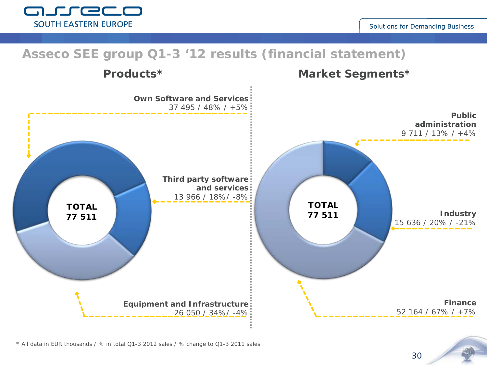Solutions for Demanding Business

#### **TOTAL 77 511 TOTAL 77 511 Asseco SEE group Q1-3 '12 results (financial statement) Own Software and Services** 37 495 / 48% / +5% **Third party software and services** 13 966 / 18%/ -8% **Equipment and Infrastructure** 26 050 / 34%/ -4% **Public administration** 9 711 / 13% / +4% **Industry** 15 636 / 20% / -21% **Finance** 52 164 / 67% / +7% **Products\* Market Segments\***

*\* All data in EUR thousands / % in total Q1-3 2012 sales / % change to Q1-3 2011 sales*

30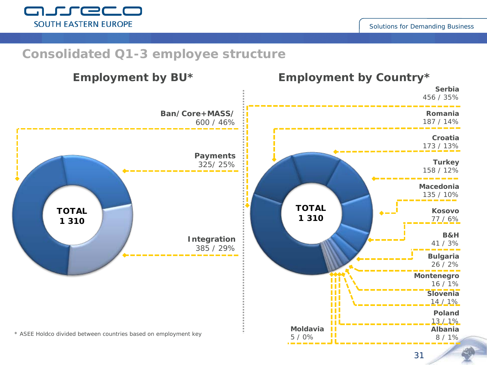

#### **Consolidated Q1-3 employee structure**

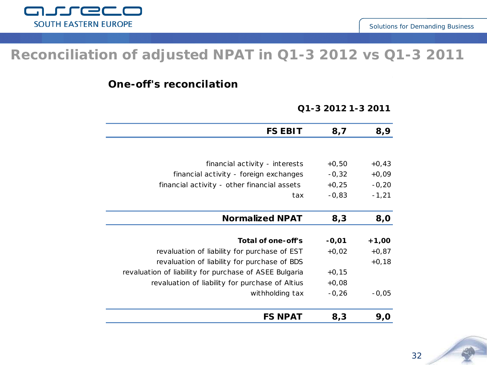

#### **Reconciliation of adjusted NPAT in Q1-3 2012 vs Q1-3 2011**

**One-off's reconcilation**

#### **Q1-3 2012 1-3 2011**

| 8,9     | 8,7     | <b>FS EBIT</b>                                         |
|---------|---------|--------------------------------------------------------|
|         |         |                                                        |
| $+0,43$ | $+0,50$ | financial activity - interests                         |
| $+0,09$ | $-0,32$ | financial activity - foreign exchanges                 |
| $-0,20$ | $+0,25$ | financial activity - other financial assets            |
| $-1,21$ | $-0,83$ | tax                                                    |
|         |         |                                                        |
| 8,0     | 8,3     | <b>Normalized NPAT</b>                                 |
|         |         |                                                        |
| $+1,00$ | $-0,01$ | Total of one-off's                                     |
| $+0,87$ | $+0,02$ | revaluation of liability for purchase of EST           |
| $+0,18$ |         | revaluation of liability for purchase of BDS           |
|         | $+0,15$ | revaluation of liability for purchase of ASEE Bulgaria |
|         | $+0,08$ | revaluation of liability for purchase of Altius        |
| $-0,05$ | $-0,26$ | withholding tax                                        |
| 9,0     | 8,3     | <b>FS NPAT</b>                                         |